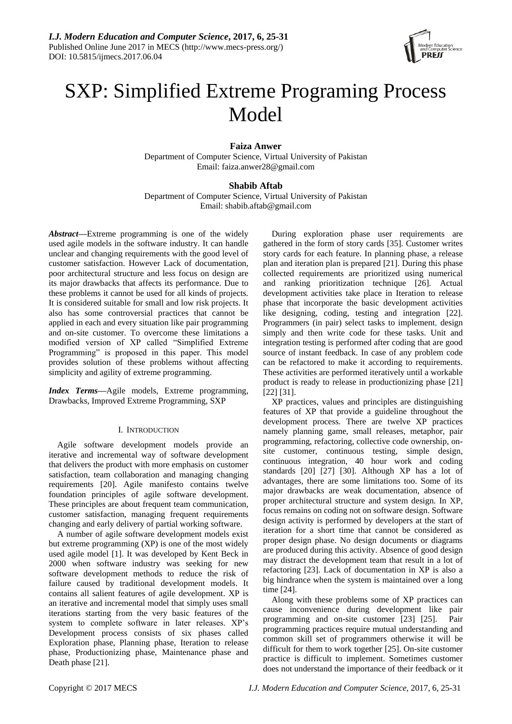

# SXP: Simplified Extreme Programing Process Model

**Faiza Anwer**

Department of Computer Science, Virtual University of Pakistan Email: faiza.anwer28@gmail.com

## **Shabib Aftab**

Department of Computer Science, Virtual University of Pakistan Email: shabib.aftab@gmail.com

*Abstract—*Extreme programming is one of the widely used agile models in the software industry. It can handle unclear and changing requirements with the good level of customer satisfaction. However Lack of documentation, poor architectural structure and less focus on design are its major drawbacks that affects its performance. Due to these problems it cannot be used for all kinds of projects. It is considered suitable for small and low risk projects. It also has some controversial practices that cannot be applied in each and every situation like pair programming and on-site customer. To overcome these limitations a modified version of XP called "Simplified Extreme Programming" is proposed in this paper. This model provides solution of these problems without affecting simplicity and agility of extreme programming.

*Index Terms—*Agile models, Extreme programming, Drawbacks, Improved Extreme Programming, SXP

### I. INTRODUCTION

Agile software development models provide an iterative and incremental way of software development that delivers the product with more emphasis on customer satisfaction, team collaboration and managing changing requirements [20]. Agile manifesto contains twelve foundation principles of agile software development. These principles are about frequent team communication. customer satisfaction, managing frequent requirements changing and early delivery of partial working software.

A number of agile software development models exist but extreme programming (XP) is one of the most widely used agile model [1]. It was developed by Kent Beck in 2000 when software industry was seeking for new software development methods to reduce the risk of failure caused by traditional development models. It contains all salient features of agile development. XP is an iterative and incremental model that simply uses small iterations starting from the very basic features of the system to complete software in later releases. XP's Development process consists of six phases called Exploration phase, Planning phase, Iteration to release phase, Productionizing phase, Maintenance phase and Death phase [21].

During exploration phase user requirements are gathered in the form of story cards [35]. Customer writes story cards for each feature. In planning phase, a release plan and iteration plan is prepared [21]. During this phase collected requirements are prioritized using numerical and ranking prioritization technique [26]. Actual development activities take place in Iteration to release phase that incorporate the basic development activities like designing, coding, testing and integration [22]. Programmers (in pair) select tasks to implement, design simply and then write code for these tasks. Unit and integration testing is performed after coding that are good source of instant feedback. In case of any problem code can be refactored to make it according to requirements. These activities are performed iteratively until a workable product is ready to release in productionizing phase [21] [22] [31].

XP practices, values and principles are distinguishing features of XP that provide a guideline throughout the development process. There are twelve XP practices namely planning game, small releases, metaphor, pair programming, refactoring, collective code ownership, onsite customer, continuous testing, simple design, continuous integration, 40 hour work and coding standards [20] [27] [30]. Although XP has a lot of advantages, there are some limitations too. Some of its major drawbacks are weak documentation, absence of proper architectural structure and system design. In XP, focus remains on coding not on software design. Software design activity is performed by developers at the start of iteration for a short time that cannot be considered as proper design phase. No design documents or diagrams are produced during this activity. Absence of good design may distract the development team that result in a lot of refactoring [23]. Lack of documentation in XP is also a big hindrance when the system is maintained over a long time [24].

Along with these problems some of XP practices can cause inconvenience during development like pair programming and on-site customer [23] [25]. Pair programming practices require mutual understanding and common skill set of programmers otherwise it will be difficult for them to work together [25]. On-site customer practice is difficult to implement. Sometimes customer does not understand the importance of their feedback or it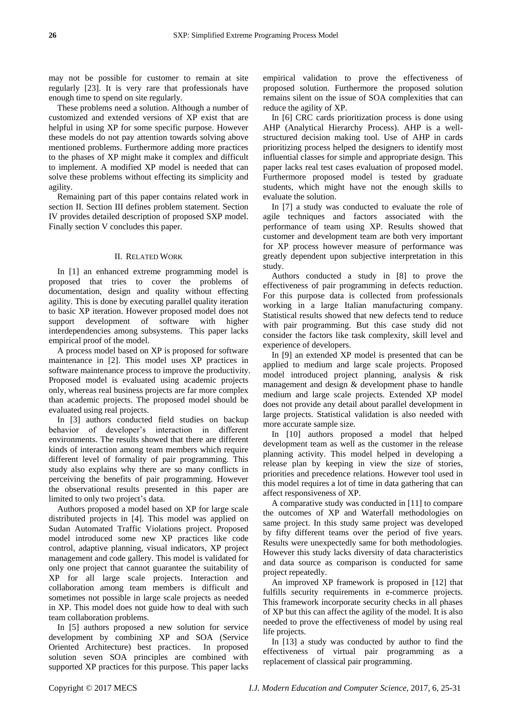may not be possible for customer to remain at site regularly [23]. It is very rare that professionals have enough time to spend on site regularly.

These problems need a solution. Although a number of customized and extended versions of XP exist that are helpful in using XP for some specific purpose. However these models do not pay attention towards solving above mentioned problems. Furthermore adding more practices to the phases of XP might make it complex and difficult to implement. A modified XP model is needed that can solve these problems without effecting its simplicity and agility.

Remaining part of this paper contains related work in section II. Section III defines problem statement. Section IV provides detailed description of proposed SXP model. Finally section V concludes this paper.

#### II. RELATED WORK

In [1] an enhanced extreme programming model is proposed that tries to cover the problems of documentation, design and quality without effecting agility. This is done by executing parallel quality iteration to basic XP iteration. However proposed model does not support development of software with higher interdependencies among subsystems. This paper lacks empirical proof of the model.

A process model based on XP is proposed for software maintenance in [2]. This model uses XP practices in software maintenance process to improve the productivity. Proposed model is evaluated using academic projects only, whereas real business projects are far more complex than academic projects. The proposed model should be evaluated using real projects.

In [3] authors conducted field studies on backup behavior of developer's interaction in different environments. The results showed that there are different kinds of interaction among team members which require different level of formality of pair programming. This study also explains why there are so many conflicts in perceiving the benefits of pair programming. However the observational results presented in this paper are limited to only two project's data.

Authors proposed a model based on XP for large scale distributed projects in [4]. This model was applied on Sudan Automated Traffic Violations project. Proposed model introduced some new XP practices like code control, adaptive planning, visual indicators, XP project management and code gallery. This model is validated for only one project that cannot guarantee the suitability of XP for all large scale projects. Interaction and collaboration among team members is difficult and sometimes not possible in large scale projects as needed in XP. This model does not guide how to deal with such team collaboration problems.

In [5] authors proposed a new solution for service development by combining XP and SOA (Service Oriented Architecture) best practices. In proposed solution seven SOA principles are combined with supported XP practices for this purpose. This paper lacks empirical validation to prove the effectiveness of proposed solution. Furthermore the proposed solution remains silent on the issue of SOA complexities that can reduce the agility of XP.

In [6] CRC cards prioritization process is done using AHP (Analytical Hierarchy Process). AHP is a wellstructured decision making tool. Use of AHP in cards prioritizing process helped the designers to identify most influential classes for simple and appropriate design. This paper lacks real test cases evaluation of proposed model. Furthermore proposed model is tested by graduate students, which might have not the enough skills to evaluate the solution.

In [7] a study was conducted to evaluate the role of agile techniques and factors associated with the performance of team using XP. Results showed that customer and development team are both very important for XP process however measure of performance was greatly dependent upon subjective interpretation in this study.

Authors conducted a study in [8] to prove the effectiveness of pair programming in defects reduction. For this purpose data is collected from professionals working in a large Italian manufacturing company. Statistical results showed that new defects tend to reduce with pair programming. But this case study did not consider the factors like task complexity, skill level and experience of developers.

In [9] an extended XP model is presented that can be applied to medium and large scale projects. Proposed model introduced project planning, analysis & risk management and design & development phase to handle medium and large scale projects. Extended XP model does not provide any detail about parallel development in large projects. Statistical validation is also needed with more accurate sample size.

In [10] authors proposed a model that helped development team as well as the customer in the release planning activity. This model helped in developing a release plan by keeping in view the size of stories, priorities and precedence relations. However tool used in this model requires a lot of time in data gathering that can affect responsiveness of XP.

A comparative study was conducted in [11] to compare the outcomes of XP and Waterfall methodologies on same project. In this study same project was developed by fifty different teams over the period of five years. Results were unexpectedly same for both methodologies. However this study lacks diversity of data characteristics and data source as comparison is conducted for same project repeatedly.

An improved XP framework is proposed in [12] that fulfills security requirements in e-commerce projects. This framework incorporate security checks in all phases of XP but this can affect the agility of the model. It is also needed to prove the effectiveness of model by using real life projects.

In [13] a study was conducted by author to find the effectiveness of virtual pair programming as a replacement of classical pair programming.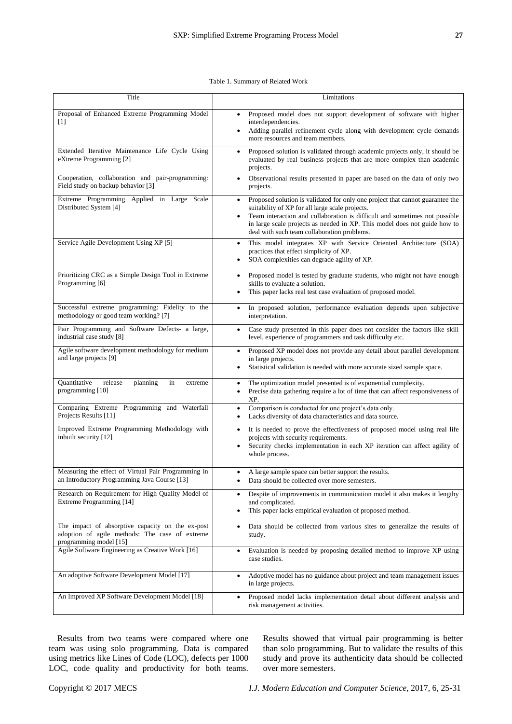Table 1. Summary of Related Work

| Title                                                                                                                        | Limitations                                                                                                                                                                                                                                                                                                                                                          |
|------------------------------------------------------------------------------------------------------------------------------|----------------------------------------------------------------------------------------------------------------------------------------------------------------------------------------------------------------------------------------------------------------------------------------------------------------------------------------------------------------------|
| Proposal of Enhanced Extreme Programming Model<br>$[1]$                                                                      | Proposed model does not support development of software with higher<br>٠<br>interdependencies.<br>Adding parallel refinement cycle along with development cycle demands<br>$\bullet$<br>more resources and team members.                                                                                                                                             |
| Extended Iterative Maintenance Life Cycle Using<br>eXtreme Programming [2]                                                   | Proposed solution is validated through academic projects only, it should be<br>$\bullet$<br>evaluated by real business projects that are more complex than academic<br>projects.                                                                                                                                                                                     |
| Cooperation, collaboration and pair-programming:<br>Field study on backup behavior [3]                                       | Observational results presented in paper are based on the data of only two<br>$\bullet$<br>projects.                                                                                                                                                                                                                                                                 |
| Extreme Programming Applied in Large Scale<br>Distributed System [4]                                                         | Proposed solution is validated for only one project that cannot guarantee the<br>$\bullet$<br>suitability of XP for all large scale projects.<br>Team interaction and collaboration is difficult and sometimes not possible<br>$\bullet$<br>in large scale projects as needed in XP. This model does not guide how to<br>deal with such team collaboration problems. |
| Service Agile Development Using XP [5]                                                                                       | This model integrates XP with Service Oriented Architecture (SOA)<br>$\bullet$<br>practices that effect simplicity of XP.<br>SOA complexities can degrade agility of XP.<br>$\bullet$                                                                                                                                                                                |
| Prioritizing CRC as a Simple Design Tool in Extreme<br>Programming [6]                                                       | Proposed model is tested by graduate students, who might not have enough<br>$\bullet$<br>skills to evaluate a solution.<br>This paper lacks real test case evaluation of proposed model.<br>$\bullet$                                                                                                                                                                |
| Successful extreme programming: Fidelity to the<br>methodology or good team working? [7]                                     | In proposed solution, performance evaluation depends upon subjective<br>$\bullet$<br>interpretation.                                                                                                                                                                                                                                                                 |
| Pair Programming and Software Defects- a large,<br>industrial case study [8]                                                 | Case study presented in this paper does not consider the factors like skill<br>$\bullet$<br>level, experience of programmers and task difficulty etc.                                                                                                                                                                                                                |
| Agile software development methodology for medium<br>and large projects [9]                                                  | Proposed XP model does not provide any detail about parallel development<br>$\bullet$<br>in large projects.<br>Statistical validation is needed with more accurate sized sample space.<br>$\bullet$                                                                                                                                                                  |
| Quantitative<br>release<br>planning<br>in<br>extreme<br>programming [10]                                                     | The optimization model presented is of exponential complexity.<br>$\bullet$<br>Precise data gathering require a lot of time that can affect responsiveness of<br>$\bullet$<br>XP.                                                                                                                                                                                    |
| Comparing Extreme Programming and Waterfall<br>Projects Results [11]                                                         | Comparison is conducted for one project's data only.<br>$\bullet$<br>Lacks diversity of data characteristics and data source.<br>$\bullet$                                                                                                                                                                                                                           |
| Improved Extreme Programming Methodology with<br>inbuilt security [12]                                                       | It is needed to prove the effectiveness of proposed model using real life<br>$\bullet$<br>projects with security requirements.<br>Security checks implementation in each XP iteration can affect agility of<br>$\bullet$<br>whole process.                                                                                                                           |
| Measuring the effect of Virtual Pair Programming in<br>an Introductory Programming Java Course [13]                          | A large sample space can better support the results.<br>$\bullet$<br>Data should be collected over more semesters.                                                                                                                                                                                                                                                   |
| Research on Requirement for High Quality Model of<br>Extreme Programming [14]                                                | Despite of improvements in communication model it also makes it lengthy<br>$\bullet$<br>and complicated.<br>This paper lacks empirical evaluation of proposed method.<br>$\bullet$                                                                                                                                                                                   |
| The impact of absorptive capacity on the ex-post<br>adoption of agile methods: The case of extreme<br>programming model [15] | Data should be collected from various sites to generalize the results of<br>$\bullet$<br>study.                                                                                                                                                                                                                                                                      |
| Agile Software Engineering as Creative Work [16]                                                                             | Evaluation is needed by proposing detailed method to improve XP using<br>$\bullet$<br>case studies.                                                                                                                                                                                                                                                                  |
| An adoptive Software Development Model [17]                                                                                  | Adoptive model has no guidance about project and team management issues<br>٠<br>in large projects.                                                                                                                                                                                                                                                                   |
| An Improved XP Software Development Model [18]                                                                               | Proposed model lacks implementation detail about different analysis and<br>$\bullet$<br>risk management activities.                                                                                                                                                                                                                                                  |

Results from two teams were compared where one team was using solo programming. Data is compared using metrics like Lines of Code (LOC), defects per 1000 LOC, code quality and productivity for both teams.

Results showed that virtual pair programming is better than solo programming. But to validate the results of this study and prove its authenticity data should be collected over more semesters.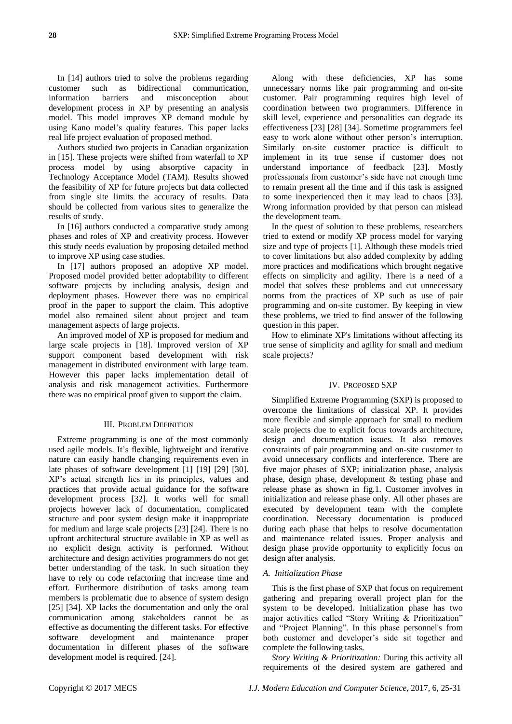In [14] authors tried to solve the problems regarding customer such as bidirectional communication, information barriers and misconception about development process in XP by presenting an analysis model. This model improves XP demand module by using Kano model's quality features. This paper lacks real life project evaluation of proposed method.

Authors studied two projects in Canadian organization in [15]. These projects were shifted from waterfall to XP process model by using absorptive capacity in Technology Acceptance Model (TAM). Results showed the feasibility of XP for future projects but data collected from single site limits the accuracy of results. Data should be collected from various sites to generalize the results of study.

In [16] authors conducted a comparative study among phases and roles of XP and creativity process. However this study needs evaluation by proposing detailed method to improve XP using case studies.

In [17] authors proposed an adoptive XP model. Proposed model provided better adoptability to different software projects by including analysis, design and deployment phases. However there was no empirical proof in the paper to support the claim. This adoptive model also remained silent about project and team management aspects of large projects.

An improved model of XP is proposed for medium and large scale projects in [18]. Improved version of XP support component based development with risk management in distributed environment with large team. However this paper lacks implementation detail of analysis and risk management activities. Furthermore there was no empirical proof given to support the claim.

#### III. PROBLEM DEFINITION

Extreme programming is one of the most commonly used agile models. It's flexible, lightweight and iterative nature can easily handle changing requirements even in late phases of software development [1] [19] [29] [30]. XP's actual strength lies in its principles, values and practices that provide actual guidance for the software development process [32]. It works well for small projects however lack of documentation, complicated structure and poor system design make it inappropriate for medium and large scale projects [23] [24]. There is no upfront architectural structure available in XP as well as no explicit design activity is performed. Without architecture and design activities programmers do not get better understanding of the task. In such situation they have to rely on code refactoring that increase time and effort. Furthermore distribution of tasks among team members is problematic due to absence of system design [25] [34]. XP lacks the documentation and only the oral communication among stakeholders cannot be as effective as documenting the different tasks. For effective software development and maintenance proper documentation in different phases of the software development model is required. [24].

Along with these deficiencies, XP has some unnecessary norms like pair programming and on-site customer. Pair programming requires high level of coordination between two programmers. Difference in skill level, experience and personalities can degrade its effectiveness [23] [28] [34]. Sometime programmers feel easy to work alone without other person's interruption. Similarly on-site customer practice is difficult to implement in its true sense if customer does not understand importance of feedback [23]. Mostly professionals from customer's side have not enough time to remain present all the time and if this task is assigned to some inexperienced then it may lead to chaos [33]. Wrong information provided by that person can mislead the development team.

In the quest of solution to these problems, researchers tried to extend or modify XP process model for varying size and type of projects [1]. Although these models tried to cover limitations but also added complexity by adding more practices and modifications which brought negative effects on simplicity and agility. There is a need of a model that solves these problems and cut unnecessary norms from the practices of XP such as use of pair programming and on-site customer. By keeping in view these problems, we tried to find answer of the following question in this paper.

How to eliminate XP's limitations without affecting its true sense of simplicity and agility for small and medium scale projects?

#### IV. PROPOSED SXP

Simplified Extreme Programming (SXP) is proposed to overcome the limitations of classical XP. It provides more flexible and simple approach for small to medium scale projects due to explicit focus towards architecture, design and documentation issues. It also removes constraints of pair programming and on-site customer to avoid unnecessary conflicts and interference. There are five major phases of SXP; initialization phase, analysis phase, design phase, development & testing phase and release phase as shown in fig.1. Customer involves in initialization and release phase only. All other phases are executed by development team with the complete coordination. Necessary documentation is produced during each phase that helps to resolve documentation and maintenance related issues. Proper analysis and design phase provide opportunity to explicitly focus on design after analysis.

#### *A. Initialization Phase*

This is the first phase of SXP that focus on requirement gathering and preparing overall project plan for the system to be developed. Initialization phase has two major activities called "Story Writing & Prioritization" and "Project Planning". In this phase personnel's from both customer and developer's side sit together and complete the following tasks.

*Story Writing & Prioritization:* During this activity all requirements of the desired system are gathered and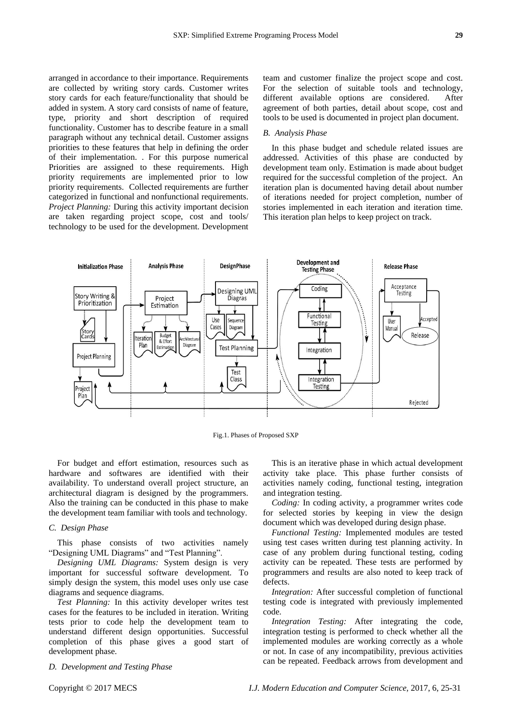arranged in accordance to their importance. Requirements are collected by writing story cards. Customer writes story cards for each feature/functionality that should be added in system. A story card consists of name of feature, type, priority and short description of required functionality. Customer has to describe feature in a small paragraph without any technical detail. Customer assigns priorities to these features that help in defining the order of their implementation. . For this purpose numerical Priorities are assigned to these requirements. High priority requirements are implemented prior to low priority requirements. Collected requirements are further categorized in functional and nonfunctional requirements. *Project Planning:* During this activity important decision are taken regarding project scope, cost and tools/ technology to be used for the development. Development team and customer finalize the project scope and cost. For the selection of suitable tools and technology, different available options are considered. After agreement of both parties, detail about scope, cost and tools to be used is documented in project plan document.

#### *B. Analysis Phase*

In this phase budget and schedule related issues are addressed. Activities of this phase are conducted by development team only. Estimation is made about budget required for the successful completion of the project. An iteration plan is documented having detail about number of iterations needed for project completion, number of stories implemented in each iteration and iteration time. This iteration plan helps to keep project on track.



Fig.1. Phases of Proposed SXP

For budget and effort estimation, resources such as hardware and softwares are identified with their availability. To understand overall project structure, an architectural diagram is designed by the programmers. Also the training can be conducted in this phase to make the development team familiar with tools and technology.

#### *C. Design Phase*

This phase consists of two activities namely "Designing UML Diagrams" and "Test Planning".

*Designing UML Diagrams:* System design is very important for successful software development. To simply design the system, this model uses only use case diagrams and sequence diagrams.

*Test Planning:* In this activity developer writes test cases for the features to be included in iteration. Writing tests prior to code help the development team to understand different design opportunities. Successful completion of this phase gives a good start of development phase.

*D. Development and Testing Phase*

This is an iterative phase in which actual development activity take place. This phase further consists of activities namely coding, functional testing, integration and integration testing.

*Coding:* In coding activity, a programmer writes code for selected stories by keeping in view the design document which was developed during design phase.

*Functional Testing:* Implemented modules are tested using test cases written during test planning activity. In case of any problem during functional testing, coding activity can be repeated. These tests are performed by programmers and results are also noted to keep track of defects.

*Integration:* After successful completion of functional testing code is integrated with previously implemented code.

*Integration Testing:* After integrating the code, integration testing is performed to check whether all the implemented modules are working correctly as a whole or not. In case of any incompatibility, previous activities can be repeated. Feedback arrows from development and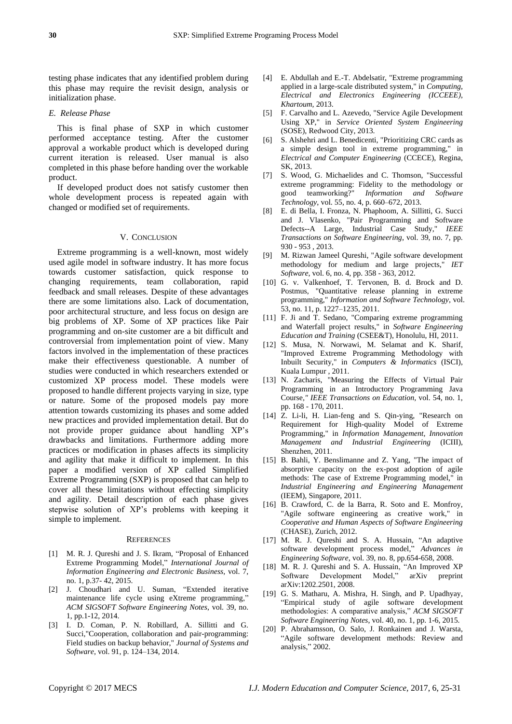testing phase indicates that any identified problem during this phase may require the revisit design, analysis or initialization phase.

#### *E. Release Phase*

This is final phase of SXP in which customer performed acceptance testing. After the customer approval a workable product which is developed during current iteration is released. User manual is also completed in this phase before handing over the workable product.

If developed product does not satisfy customer then whole development process is repeated again with changed or modified set of requirements.

#### V. CONCLUSION

Extreme programming is a well-known, most widely used agile model in software industry. It has more focus towards customer satisfaction, quick response to changing requirements, team collaboration, rapid feedback and small releases. Despite of these advantages there are some limitations also. Lack of documentation, poor architectural structure, and less focus on design are big problems of XP. Some of XP practices like Pair programming and on-site customer are a bit difficult and controversial from implementation point of view. Many factors involved in the implementation of these practices make their effectiveness questionable. A number of studies were conducted in which researchers extended or customized XP process model. These models were proposed to handle different projects varying in size, type or nature. Some of the proposed models pay more attention towards customizing its phases and some added new practices and provided implementation detail. But do not provide proper guidance about handling XP's drawbacks and limitations. Furthermore adding more practices or modification in phases affects its simplicity and agility that make it difficult to implement. In this paper a modified version of XP called Simplified Extreme Programming (SXP) is proposed that can help to cover all these limitations without effecting simplicity and agility. Detail description of each phase gives stepwise solution of XP's problems with keeping it simple to implement.

#### **REFERENCES**

- [1] M. R. J. Qureshi and J. S. Ikram, "Proposal of Enhanced Extreme Programming Model," *International Journal of Information Engineering and Electronic Business*, vol. 7, no. 1, p.37- 42, 2015.
- [2] J. Choudhari and U. Suman, "Extended iterative maintenance life cycle using eXtreme programming," *ACM SIGSOFT Software Engineering Notes*, vol. 39, no. 1, pp.1-12, 2014.
- [3] I. D. Coman, P. N. Robillard, A. Sillitti and G. Succi,"Cooperation, collaboration and pair-programming: Field studies on backup behavior," *Journal of Systems and Software*, vol. 91, p. 124–134, 2014.
- [4] E. Abdullah and E.-T. Abdelsatir, "Extreme programming applied in a large-scale distributed system," in *Computing, Electrical and Electronics Engineering (ICCEEE), Khartoum,* 2013.
- [5] F. Carvalho and L. Azevedo, "Service Agile Development Using XP," in *Service Oriented System Engineering*  (SOSE), Redwood City, 2013.
- [6] S. Alshehri and L. Benedicenti, "Prioritizing CRC cards as a simple design tool in extreme programming," in *Electrical and Computer Engineering* (CCECE), Regina, SK, 2013.
- [7] S. Wood, G. Michaelides and C. Thomson, "Successful extreme programming: Fidelity to the methodology or good teamworking?" *Information and Software Technology*, vol. 55, no. 4, p. 660–672, 2013.
- [8] E. di Bella, I. Fronza, N. Phaphoom, A. Sillitti, G. Succi and J. Vlasenko, "Pair Programming and Software Defects--A Large, Industrial Case Study," *IEEE Transactions on Software Engineering*, vol. 39, no. 7, pp. 930 - 953 , 2013.
- [9] M. Rizwan Jameel Qureshi, "Agile software development methodology for medium and large projects," *IET Software*, vol. 6, no. 4, pp. 358 - 363, 2012.
- [10] G. v. Valkenhoef, T. Tervonen, B. d. Brock and D. Postmus, "Quantitative release planning in extreme programming," *Information and Software Technology*, vol. 53, no. 11, p. 1227–1235, 2011.
- [11] F. Ji and T. Sedano, "Comparing extreme programming and Waterfall project results," in *Software Engineering Education and Training* (CSEE&T), Honolulu, HI, 2011.
- [12] S. Musa, N. Norwawi, M. Selamat and K. Sharif, "Improved Extreme Programming Methodology with Inbuilt Security," in *Computers & Informatics* (ISCI), Kuala Lumpur , 2011.
- [13] N. Zacharis, "Measuring the Effects of Virtual Pair Programming in an Introductory Programming Java Course*," IEEE Transactions on Education*, vol. 54, no. 1, pp. 168 - 170, 2011.
- [14] Z. Li-li, H. Lian-feng and S. Qin-ying, "Research on Requirement for High-quality Model of Extreme Programming," in *Information Management, Innovation Management and Industrial Engineering* (ICIII), Shenzhen, 2011.
- [15] B. Bahli, Y. Benslimanne and Z. Yang, "The impact of absorptive capacity on the ex-post adoption of agile methods: The case of Extreme Programming model," in *Industrial Engineering and Engineering Management* (IEEM), Singapore, 2011.
- [16] B. Crawford, C. de la Barra, R. Soto and E. Monfroy, "Agile software engineering as creative work," in *Cooperative and Human Aspects of Software Engineering* (CHASE), Zurich, 2012.
- [17] M. R. J. Qureshi and S. A. Hussain, "An adaptive software development process model," *Advances in Engineering Software*, vol. 39, no. 8, pp.654-658, 2008.
- [18] M. R. J. Qureshi and S. A. Hussain, "An Improved XP Software Development Model," arXiv preprint arXiv:1202.2501, 2008.
- [19] G. S. Matharu, A. Mishra, H. Singh, and P. Upadhyay, "Empirical study of agile software development methodologies: A comparative analysis," *ACM SIGSOFT Software Engineering Notes*, vol. 40, no. 1, pp. 1-6, 2015.
- [20] P. Abrahamsson, O. Salo, J. Ronkainen and J. Warsta, "Agile software development methods: Review and analysis," 2002.